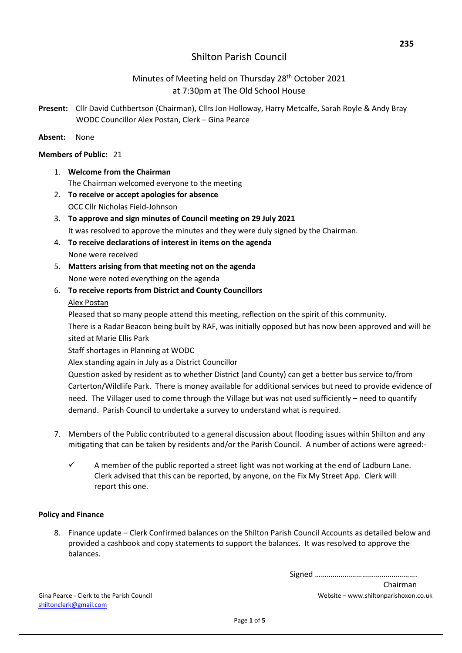# Shilton Parish Council

# Minutes of Meeting held on Thursday 28<sup>th</sup> October 2021 at 7:30pm at The Old School House

**Present:** Cllr David Cuthbertson (Chairman), Cllrs Jon Holloway, Harry Metcalfe, Sarah Royle & Andy Bray WODC Councillor Alex Postan, Clerk – Gina Pearce

### **Absent:** None

## **Members of Public:** 21

- 1. **Welcome from the Chairman** The Chairman welcomed everyone to the meeting
- 2. **To receive or accept apologies for absence** OCC Cllr Nicholas Field-Johnson
- 3. **To approve and sign minutes of Council meeting on 29 July 2021** It was resolved to approve the minutes and they were duly signed by the Chairman.
- 4. **To receive declarations of interest in items on the agenda** None were received
- 5. **Matters arising from that meeting not on the agenda** None were noted everything on the agenda
- 6. **To receive reports from District and County Councillors** Alex Postan

Pleased that so many people attend this meeting, reflection on the spirit of this community. There is a Radar Beacon being built by RAF, was initially opposed but has now been approved and will be sited at Marie Ellis Park

Staff shortages in Planning at WODC

Alex standing again in July as a District Councillor

Question asked by resident as to whether District (and County) can get a better bus service to/from Carterton/Wildlife Park. There is money available for additional services but need to provide evidence of need. The Villager used to come through the Village but was not used sufficiently – need to quantify demand. Parish Council to undertake a survey to understand what is required.

- 7. Members of the Public contributed to a general discussion about flooding issues within Shilton and any mitigating that can be taken by residents and/or the Parish Council. A number of actions were agreed:-
	- $\checkmark$  A member of the public reported a street light was not working at the end of Ladburn Lane. Clerk advised that this can be reported, by anyone, on the Fix My Street App. Clerk will report this one.

#### **Policy and Finance**

8. Finance update – Clerk Confirmed balances on the Shilton Parish Council Accounts as detailed below and provided a cashbook and copy statements to support the balances. It was resolved to approve the balances.

Signed …………………………………………….

Gina Pearce - Clerk to the Parish Council Website – www.shiltonparishoxon.co.uk [shiltonc](mailto:shilton)lerk@gmail.com

Chairman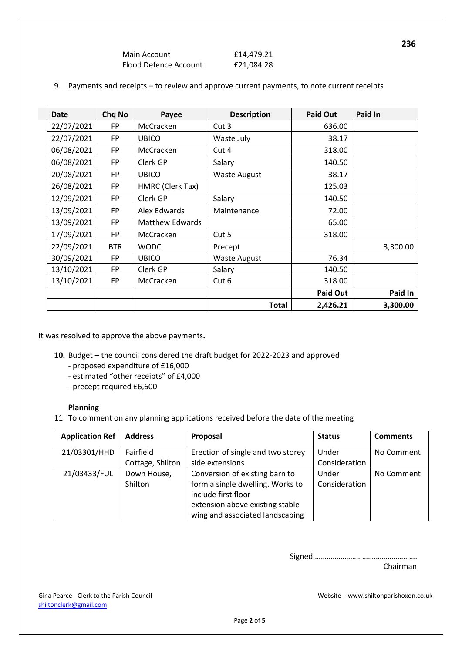| Main Account          | £14,479.21 |
|-----------------------|------------|
| Flood Defence Account | £21,084.28 |

| <b>Date</b> | Chq No     | Payee                  | <b>Description</b>  | <b>Paid Out</b> | Paid In  |
|-------------|------------|------------------------|---------------------|-----------------|----------|
| 22/07/2021  | FP         | McCracken              | Cut 3               | 636.00          |          |
| 22/07/2021  | FP         | <b>UBICO</b>           | Waste July          | 38.17           |          |
| 06/08/2021  | FP         | McCracken              | Cut 4               | 318.00          |          |
| 06/08/2021  | FP         | Clerk GP               | Salary              | 140.50          |          |
| 20/08/2021  | FP         | <b>UBICO</b>           | <b>Waste August</b> | 38.17           |          |
| 26/08/2021  | FP         | HMRC (Clerk Tax)       |                     | 125.03          |          |
| 12/09/2021  | FP         | Clerk GP               | Salary              | 140.50          |          |
| 13/09/2021  | <b>FP</b>  | Alex Edwards           | Maintenance         | 72.00           |          |
| 13/09/2021  | FP         | <b>Matthew Edwards</b> |                     | 65.00           |          |
| 17/09/2021  | FP         | McCracken              | Cut 5               | 318.00          |          |
| 22/09/2021  | <b>BTR</b> | <b>WODC</b><br>Precept |                     |                 | 3,300.00 |
| 30/09/2021  | FP.        | <b>UBICO</b>           | <b>Waste August</b> | 76.34           |          |
| 13/10/2021  | FP         | Clerk GP               | Salary              | 140.50          |          |
| 13/10/2021  | <b>FP</b>  | McCracken              | Cut 6               | 318.00          |          |
|             |            |                        |                     | <b>Paid Out</b> | Paid In  |
|             |            |                        | <b>Total</b>        | 2,426.21        | 3,300.00 |

|  | 9. Payments and receipts - to review and approve current payments, to note current receipts |  |  |  |  |  |  |  |
|--|---------------------------------------------------------------------------------------------|--|--|--|--|--|--|--|
|--|---------------------------------------------------------------------------------------------|--|--|--|--|--|--|--|

It was resolved to approve the above payments**.**

- **10.** Budget the council considered the draft budget for 2022-2023 and approved
	- proposed expenditure of £16,000
	- estimated "other receipts" of £4,000
	- precept required £6,600

#### **Planning**

11. To comment on any planning applications received before the date of the meeting

| <b>Application Ref</b> | <b>Address</b>   | Proposal                          | <b>Status</b> | <b>Comments</b> |
|------------------------|------------------|-----------------------------------|---------------|-----------------|
| 21/03301/HHD           | Fairfield        | Erection of single and two storey | Under         | No Comment      |
|                        | Cottage, Shilton | side extensions                   | Consideration |                 |
| 21/03433/FUL           | Down House,      | Conversion of existing barn to    | Under         | No Comment      |
|                        | Shilton          | form a single dwelling. Works to  | Consideration |                 |
|                        |                  | include first floor               |               |                 |
|                        |                  | extension above existing stable   |               |                 |
|                        |                  | wing and associated landscaping   |               |                 |

Signed …………………………………………….

Chairman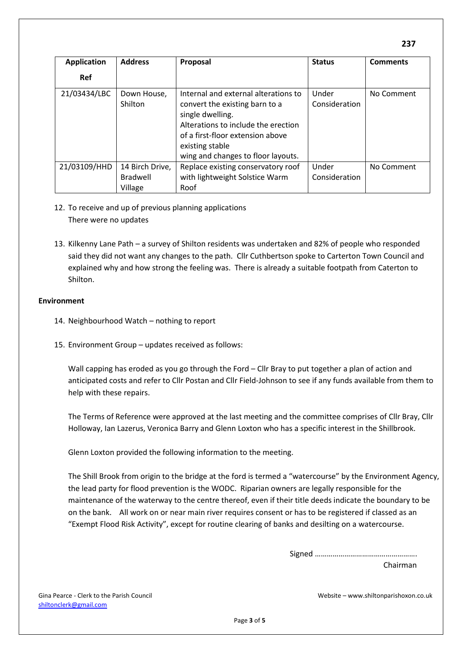| <b>Application</b> | <b>Address</b>             | Proposal                                                                                                                                                                                                                       | <b>Status</b>          | <b>Comments</b> |
|--------------------|----------------------------|--------------------------------------------------------------------------------------------------------------------------------------------------------------------------------------------------------------------------------|------------------------|-----------------|
| <b>Ref</b>         |                            |                                                                                                                                                                                                                                |                        |                 |
| 21/03434/LBC       | Down House,<br>Shilton     | Internal and external alterations to<br>convert the existing barn to a<br>single dwelling.<br>Alterations to include the erection<br>of a first-floor extension above<br>existing stable<br>wing and changes to floor layouts. | Under<br>Consideration | No Comment      |
| 21/03109/HHD       | 14 Birch Drive,            | Replace existing conservatory roof                                                                                                                                                                                             | Under                  | No Comment      |
|                    | <b>Bradwell</b><br>Village | with lightweight Solstice Warm<br>Roof                                                                                                                                                                                         | Consideration          |                 |

- 12. To receive and up of previous planning applications There were no updates
- 13. Kilkenny Lane Path a survey of Shilton residents was undertaken and 82% of people who responded said they did not want any changes to the path. Cllr Cuthbertson spoke to Carterton Town Council and explained why and how strong the feeling was. There is already a suitable footpath from Caterton to Shilton.

#### **Environment**

- 14. Neighbourhood Watch nothing to report
- 15. Environment Group updates received as follows:

Wall capping has eroded as you go through the Ford – Cllr Bray to put together a plan of action and anticipated costs and refer to Cllr Postan and Cllr Field-Johnson to see if any funds available from them to help with these repairs.

The Terms of Reference were approved at the last meeting and the committee comprises of Cllr Bray, Cllr Holloway, Ian Lazerus, Veronica Barry and Glenn Loxton who has a specific interest in the Shillbrook.

Glenn Loxton provided the following information to the meeting.

The Shill Brook from origin to the bridge at the ford is termed a "watercourse" by the Environment Agency, the lead party for flood prevention is the WODC. Riparian owners are legally responsible for the maintenance of the waterway to the centre thereof, even if their title deeds indicate the boundary to be on the bank. All work on or near main river requires consent or has to be registered if classed as an "Exempt Flood Risk Activity", except for routine clearing of banks and desilting on a watercourse.

> Signed ……………………………………………. Chairman

Gina Pearce - Clerk to the Parish Council and Souncil and Sounce and Sounce and Sounce and Website – www.shiltonparishoxon.co.uk [shiltonc](mailto:shilton)lerk@gmail.com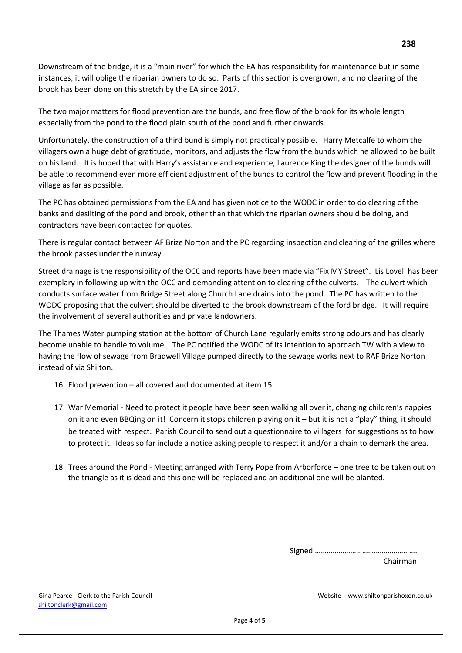Downstream of the bridge, it is a "main river" for which the EA has responsibility for maintenance but in some instances, it will oblige the riparian owners to do so. Parts of this section is overgrown, and no clearing of the brook has been done on this stretch by the EA since 2017.

The two major matters for flood prevention are the bunds, and free flow of the brook for its whole length especially from the pond to the flood plain south of the pond and further onwards.

Unfortunately, the construction of a third bund is simply not practically possible. Harry Metcalfe to whom the villagers own a huge debt of gratitude, monitors, and adjusts the flow from the bunds which he allowed to be built on his land. It is hoped that with Harry's assistance and experience, Laurence King the designer of the bunds will be able to recommend even more efficient adjustment of the bunds to control the flow and prevent flooding in the village as far as possible.

The PC has obtained permissions from the EA and has given notice to the WODC in order to do clearing of the banks and desilting of the pond and brook, other than that which the riparian owners should be doing, and contractors have been contacted for quotes.

There is regular contact between AF Brize Norton and the PC regarding inspection and clearing of the grilles where the brook passes under the runway.

Street drainage is the responsibility of the OCC and reports have been made via "Fix MY Street". Lis Lovell has been exemplary in following up with the OCC and demanding attention to clearing of the culverts. The culvert which conducts surface water from Bridge Street along Church Lane drains into the pond. The PC has written to the WODC proposing that the culvert should be diverted to the brook downstream of the ford bridge. It will require the involvement of several authorities and private landowners.

The Thames Water pumping station at the bottom of Church Lane regularly emits strong odours and has clearly become unable to handle to volume. The PC notified the WODC of its intention to approach TW with a view to having the flow of sewage from Bradwell Village pumped directly to the sewage works next to RAF Brize Norton instead of via Shilton.

- 16. Flood prevention all covered and documented at item 15.
- 17. War Memorial Need to protect it people have been seen walking all over it, changing children's nappies on it and even BBQing on it! Concern it stops children playing on it – but it is not a "play" thing, it should be treated with respect. Parish Council to send out a questionnaire to villagers for suggestions as to how to protect it. Ideas so far include a notice asking people to respect it and/or a chain to demark the area.
- 18. Trees around the Pond Meeting arranged with Terry Pope from Arborforce one tree to be taken out on the triangle as it is dead and this one will be replaced and an additional one will be planted.

Signed …………………………………………….

Chairman

Gina Pearce - Clerk to the Parish Council Website – www.shiltonparishoxon.co.uk [shiltonc](mailto:shilton)lerk@gmail.com

**238**